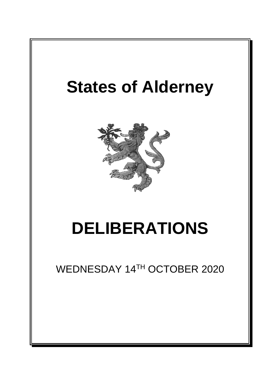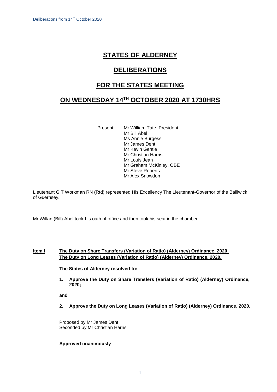# **STATES OF ALDERNEY**

# **DELIBERATIONS**

# **FOR THE STATES MEETING**

# **ON WEDNESDAY 14TH OCTOBER 2020 AT 1730HRS**

Present: Mr William Tate, President Mr Bill Abel Ms Annie Burgess Mr James Dent Mr Kevin Gentle Mr Christian Harris Mr Louis Jean Mr Graham McKinley, OBE Mr Steve Roberts Mr Alex Snowdon

Lieutenant G T Workman RN (Rtd) represented His Excellency The Lieutenant-Governor of the Bailiwick of Guernsey.

Mr Willan (Bill) Abel took his oath of office and then took his seat in the chamber.

## **Item I The Duty on Share Transfers (Variation of Ratio) (Alderney) Ordinance, 2020. The Duty on Long Leases (Variation of Ratio) (Alderney) Ordinance, 2020.**

**The States of Alderney resolved to:** 

**1. Approve the Duty on Share Transfers (Variation of Ratio) (Alderney) Ordinance, 2020;** 

**and**

**2. Approve the Duty on Long Leases (Variation of Ratio) (Alderney) Ordinance, 2020.**

Proposed by Mr James Dent Seconded by Mr Christian Harris

### **Approved unanimously**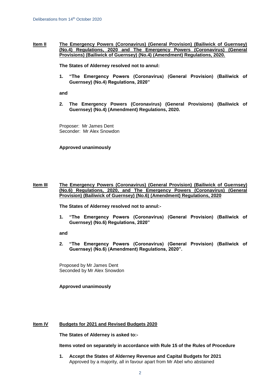**Item II The Emergency Powers (Coronavirus) (General Provision) (Bailiwick of Guernsey) (No.4) Regulations, 2020 and The Emergency Powers (Coronavirus) (General Provisions) (Bailiwick of Guernsey) (No.4) (Amendment) Regulations, 2020.**

**The States of Alderney resolved not to annul:**

**1. "The Emergency Powers (Coronavirus) (General Provision) (Bailiwick of Guernsey) (No.4) Regulations, 2020"**

**and**

**2. The Emergency Powers (Coronavirus) (General Provisions) (Bailiwick of Guernsey) (No.4) (Amendment) Regulations, 2020.**

Proposer: Mr James Dent Seconder: Mr Alex Snowdon

#### **Approved unanimously**

### **Item III The Emergency Powers (Coronavirus) (General Provision) (Bailiwick of Guernsey) (No.6) Regulations, 2020, and The Emergency Powers (Coronavirus) (General Provision) (Bailiwick of Guernsey) (No.6) (Amendment) Regulations, 2020**

**The States of Alderney resolved not to annul:-**

**1. "The Emergency Powers (Coronavirus) (General Provision) (Bailiwick of Guernsey) (No.6) Regulations, 2020"** 

**and** 

**2. "The Emergency Powers (Coronavirus) (General Provision) (Bailiwick of Guernsey) (No.6) (Amendment) Regulations, 2020".** 

Proposed by Mr James Dent Seconded by Mr Alex Snowdon

**Approved unanimously**

### **Item IV Budgets for 2021 and Revised Budgets 2020**

**The States of Alderney is asked to:-**

**Items voted on separately in accordance with Rule 15 of the Rules of Procedure**

**1. Accept the States of Alderney Revenue and Capital Budgets for 2021** Approved by a majority, all in favour apart from Mr Abel who abstained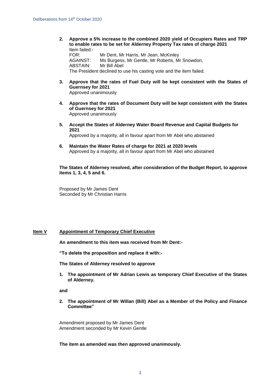**2. Approve a 5% increase to the combined 2020 yield of Occupiers Rates and TRP to enable rates to be set for Alderney Property Tax rates of charge 2021** Item failed:- FOR: Mr Dent, Mr Harris, Mr Jean, McKinley

AGAINST: Ms Burgess, Mr Gentle, Mr Roberts, Mr Snowdon, ABSTAIN: Mr Bill Abel The President declined to use his casting vote and the item failed.

- **3. Approve that the rates of Fuel Duty will be kept consistent with the States of Guernsey for 2021** Approved unanimously
- **4. Approve that the rates of Document Duty will be kept consistent with the States of Guernsey for 2021** Approved unanimously
- **5. Accept the States of Alderney Water Board Revenue and Capital Budgets for 2021**

Approved by a majority, all in favour apart from Mr Abel who abstained

**6. Maintain the Water Rates of charge for 2021 at 2020 levels** Approved by a majority, all in favour apart from Mr Abel who abstained

**The States of Alderney resolved, after consideration of the Budget Report, to approve items 1, 3, 4, 5 and 6.**

Proposed by Mr James Dent Seconded by Mr Christian Harris

## **Item V Appointment of Temporary Chief Executive**

**An amendment to this item was received from Mr Dent:-**

**"To delete the proposition and replace it with:-**

**The States of Alderney resolved to approve** 

**1. The appointment of Mr Adrian Lewis as temporary Chief Executive of the States of Alderney.**

**and**

**2. The appointment of Mr Willan (Bill) Abel as a Member of the Policy and Finance Committee"**

Amendment proposed by Mr James Dent Amendment seconded by Mr Kevin Gentle

**The item as amended was then approved unanimously.**